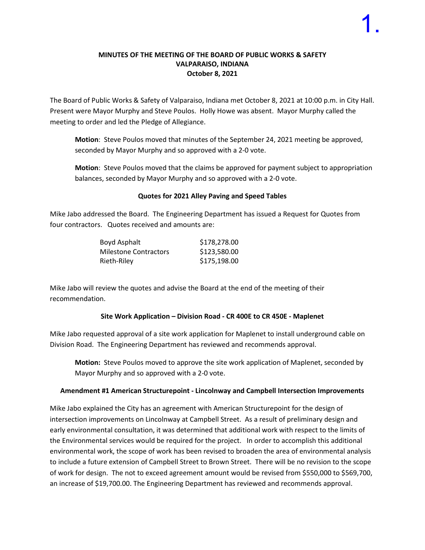#### **MINUTES OF THE MEETING OF THE BOARD OF PUBLIC WORKS & SAFETY VALPARAISO, INDIANA October 8, 2021**

The Board of Public Works & Safety of Valparaiso, Indiana met October 8, 2021 at 10:00 p.m. in City Hall. Present were Mayor Murphy and Steve Poulos. Holly Howe was absent. Mayor Murphy called the meeting to order and led the Pledge of Allegiance.

**Motion**: Steve Poulos moved that minutes of the September 24, 2021 meeting be approved, seconded by Mayor Murphy and so approved with a 2-0 vote.

**Motion**: Steve Poulos moved that the claims be approved for payment subject to appropriation balances, seconded by Mayor Murphy and so approved with a 2-0 vote.

#### **Quotes for 2021 Alley Paving and Speed Tables**

Mike Jabo addressed the Board. The Engineering Department has issued a Request for Quotes from four contractors. Quotes received and amounts are:

| Boyd Asphalt          | \$178,278.00 |
|-----------------------|--------------|
| Milestone Contractors | \$123,580.00 |
| Rieth-Riley           | \$175,198.00 |

Mike Jabo will review the quotes and advise the Board at the end of the meeting of their recommendation.

#### **Site Work Application – Division Road - CR 400E to CR 450E - Maplenet**

Mike Jabo requested approval of a site work application for Maplenet to install underground cable on Division Road. The Engineering Department has reviewed and recommends approval.

**Motion:** Steve Poulos moved to approve the site work application of Maplenet, seconded by Mayor Murphy and so approved with a 2-0 vote.

#### **Amendment #1 American Structurepoint - Lincolnway and Campbell Intersection Improvements**

Mike Jabo explained the City has an agreement with American Structurepoint for the design of intersection improvements on Lincolnway at Campbell Street. As a result of preliminary design and early environmental consultation, it was determined that additional work with respect to the limits of the Environmental services would be required for the project. In order to accomplish this additional environmental work, the scope of work has been revised to broaden the area of environmental analysis to include a future extension of Campbell Street to Brown Street. There will be no revision to the scope of work for design. The not to exceed agreement amount would be revised from \$550,000 to \$569,700, an increase of \$19,700.00. The Engineering Department has reviewed and recommends approval.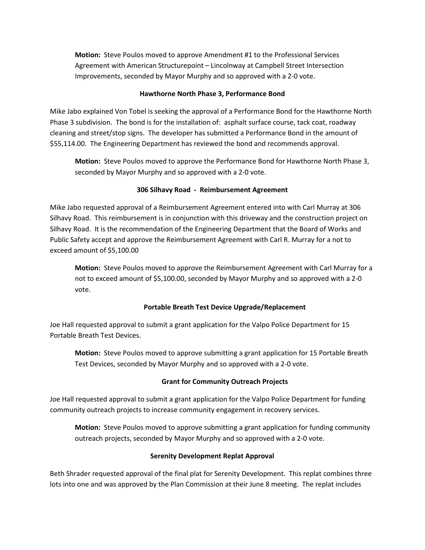**Motion:** Steve Poulos moved to approve Amendment #1 to the Professional Services Agreement with American Structurepoint – Lincolnway at Campbell Street Intersection Improvements, seconded by Mayor Murphy and so approved with a 2-0 vote.

#### **Hawthorne North Phase 3, Performance Bond**

Mike Jabo explained Von Tobel is seeking the approval of a Performance Bond for the Hawthorne North Phase 3 subdivision. The bond is for the installation of: asphalt surface course, tack coat, roadway cleaning and street/stop signs. The developer has submitted a Performance Bond in the amount of \$55,114.00. The Engineering Department has reviewed the bond and recommends approval.

**Motion:** Steve Poulos moved to approve the Performance Bond for Hawthorne North Phase 3, seconded by Mayor Murphy and so approved with a 2-0 vote.

# **306 Silhavy Road - Reimbursement Agreement**

Mike Jabo requested approval of a Reimbursement Agreement entered into with Carl Murray at 306 Silhavy Road. This reimbursement is in conjunction with this driveway and the construction project on Silhavy Road. It is the recommendation of the Engineering Department that the Board of Works and Public Safety accept and approve the Reimbursement Agreement with Carl R. Murray for a not to exceed amount of \$5,100.00

**Motion:** Steve Poulos moved to approve the Reimbursement Agreement with Carl Murray for a not to exceed amount of \$5,100.00, seconded by Mayor Murphy and so approved with a 2-0 vote.

# **Portable Breath Test Device Upgrade/Replacement**

Joe Hall requested approval to submit a grant application for the Valpo Police Department for 15 Portable Breath Test Devices.

**Motion:** Steve Poulos moved to approve submitting a grant application for 15 Portable Breath Test Devices, seconded by Mayor Murphy and so approved with a 2-0 vote.

# **Grant for Community Outreach Projects**

Joe Hall requested approval to submit a grant application for the Valpo Police Department for funding community outreach projects to increase community engagement in recovery services.

**Motion:** Steve Poulos moved to approve submitting a grant application for funding community outreach projects, seconded by Mayor Murphy and so approved with a 2-0 vote.

# **Serenity Development Replat Approval**

Beth Shrader requested approval of the final plat for Serenity Development. This replat combines three lots into one and was approved by the Plan Commission at their June 8 meeting. The replat includes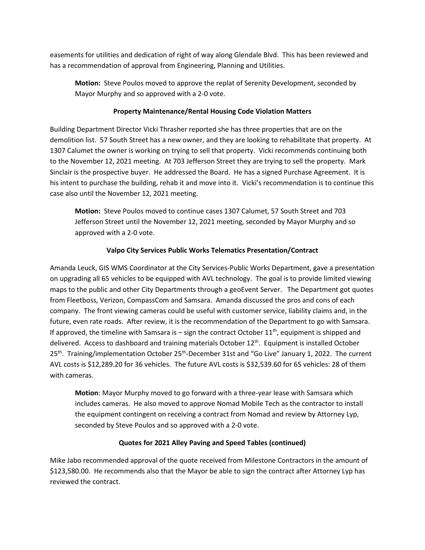easements for utilities and dedication of right of way along Glendale Blvd. This has been reviewed and has a recommendation of approval from Engineering, Planning and Utilities.

**Motion:** Steve Poulos moved to approve the replat of Serenity Development, seconded by Mayor Murphy and so approved with a 2-0 vote.

### **Property Maintenance/Rental Housing Code Violation Matters**

Building Department Director Vicki Thrasher reported she has three properties that are on the demolition list. 57 South Street has a new owner, and they are looking to rehabilitate that property. At 1307 Calumet the owner is working on trying to sell that property. Vicki recommends continuing both to the November 12, 2021 meeting. At 703 Jefferson Street they are trying to sell the property. Mark Sinclair is the prospective buyer. He addressed the Board. He has a signed Purchase Agreement. It is his intent to purchase the building, rehab it and move into it. Vicki's recommendation is to continue this case also until the November 12, 2021 meeting.

**Motion:** Steve Poulos moved to continue cases 1307 Calumet, 57 South Street and 703 Jefferson Street until the November 12, 2021 meeting, seconded by Mayor Murphy and so approved with a 2-0 vote.

# **Valpo City Services Public Works Telematics Presentation/Contract**

Amanda Leuck, GIS WMS Coordinator at the City Services-Public Works Department, gave a presentation on upgrading all 65 vehicles to be equipped with AVL technology. The goal is to provide limited viewing maps to the public and other City Departments through a geoEvent Server. The Department got quotes from Fleetboss, Verizon, CompassCom and Samsara. Amanda discussed the pros and cons of each company. The front viewing cameras could be useful with customer service, liability claims and, in the future, even rate roads. After review, it is the recommendation of the Department to go with Samsara. If approved, the timeline with Samsara is – sign the contract October  $11^{th}$ , equipment is shipped and delivered. Access to dashboard and training materials October 12<sup>th</sup>. Equipment is installed October  $25<sup>th</sup>$ . Training/implementation October  $25<sup>th</sup>$ -December 31st and "Go Live" January 1, 2022. The current AVL costs is \$12,289.20 for 36 vehicles. The future AVL costs is \$32,539.60 for 65 vehicles: 28 of them with cameras.

**Motion**: Mayor Murphy moved to go forward with a three-year lease with Samsara which includes cameras. He also moved to approve Nomad Mobile Tech as the contractor to install the equipment contingent on receiving a contract from Nomad and review by Attorney Lyp, seconded by Steve Poulos and so approved with a 2-0 vote.

# **Quotes for 2021 Alley Paving and Speed Tables (continued)**

Mike Jabo recommended approval of the quote received from Milestone Contractors in the amount of \$123,580.00. He recommends also that the Mayor be able to sign the contract after Attorney Lyp has reviewed the contract.